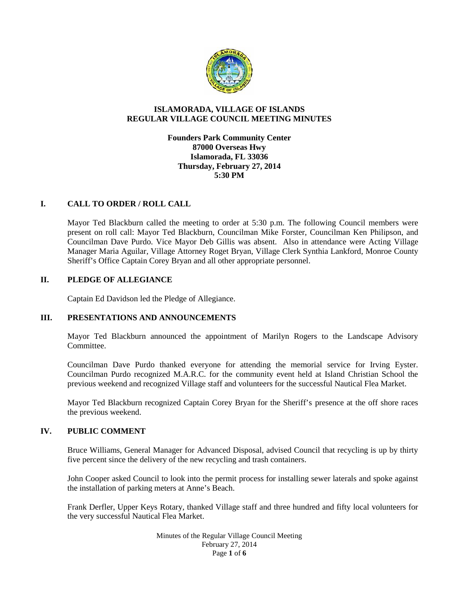

# **ISLAMORADA, VILLAGE OF ISLANDS REGULAR VILLAGE COUNCIL MEETING MINUTES**

**Founders Park Community Center 87000 Overseas Hwy Islamorada, FL 33036 Thursday, February 27, 2014 5:30 PM**

# **I. CALL TO ORDER / ROLL CALL**

Mayor Ted Blackburn called the meeting to order at 5:30 p.m. The following Council members were present on roll call: Mayor Ted Blackburn, Councilman Mike Forster, Councilman Ken Philipson, and Councilman Dave Purdo. Vice Mayor Deb Gillis was absent. Also in attendance were Acting Village Manager Maria Aguilar, Village Attorney Roget Bryan, Village Clerk Synthia Lankford, Monroe County Sheriff's Office Captain Corey Bryan and all other appropriate personnel.

# **II. PLEDGE OF ALLEGIANCE**

Captain Ed Davidson led the Pledge of Allegiance.

# **III. PRESENTATIONS AND ANNOUNCEMENTS**

Mayor Ted Blackburn announced the appointment of Marilyn Rogers to the Landscape Advisory Committee.

Councilman Dave Purdo thanked everyone for attending the memorial service for Irving Eyster. Councilman Purdo recognized M.A.R.C. for the community event held at Island Christian School the previous weekend and recognized Village staff and volunteers for the successful Nautical Flea Market.

Mayor Ted Blackburn recognized Captain Corey Bryan for the Sheriff's presence at the off shore races the previous weekend.

# **IV. PUBLIC COMMENT**

Bruce Williams, General Manager for Advanced Disposal, advised Council that recycling is up by thirty five percent since the delivery of the new recycling and trash containers.

John Cooper asked Council to look into the permit process for installing sewer laterals and spoke against the installation of parking meters at Anne's Beach.

Frank Derfler, Upper Keys Rotary, thanked Village staff and three hundred and fifty local volunteers for the very successful Nautical Flea Market.

> Minutes of the Regular Village Council Meeting February 27, 2014 Page **1** of **6**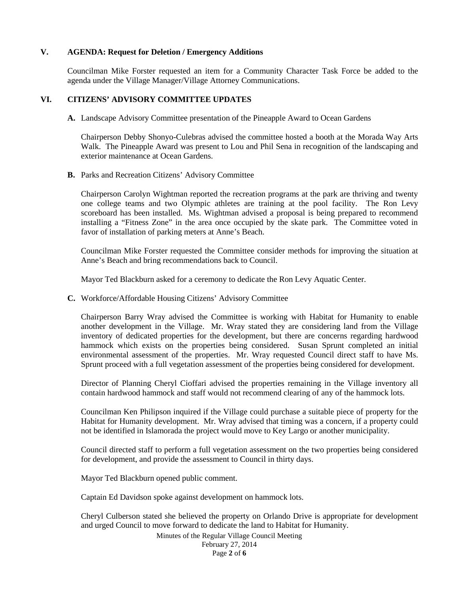# **V. AGENDA: Request for Deletion / Emergency Additions**

Councilman Mike Forster requested an item for a Community Character Task Force be added to the agenda under the Village Manager/Village Attorney Communications.

# **VI. CITIZENS' ADVISORY COMMITTEE UPDATES**

**A.** Landscape Advisory Committee presentation of the Pineapple Award to Ocean Gardens

Chairperson Debby Shonyo-Culebras advised the committee hosted a booth at the Morada Way Arts Walk. The Pineapple Award was present to Lou and Phil Sena in recognition of the landscaping and exterior maintenance at Ocean Gardens.

**B.** Parks and Recreation Citizens' Advisory Committee

Chairperson Carolyn Wightman reported the recreation programs at the park are thriving and twenty one college teams and two Olympic athletes are training at the pool facility. The Ron Levy scoreboard has been installed. Ms. Wightman advised a proposal is being prepared to recommend installing a "Fitness Zone" in the area once occupied by the skate park. The Committee voted in favor of installation of parking meters at Anne's Beach.

Councilman Mike Forster requested the Committee consider methods for improving the situation at Anne's Beach and bring recommendations back to Council.

Mayor Ted Blackburn asked for a ceremony to dedicate the Ron Levy Aquatic Center.

**C.** Workforce/Affordable Housing Citizens' Advisory Committee

Chairperson Barry Wray advised the Committee is working with Habitat for Humanity to enable another development in the Village. Mr. Wray stated they are considering land from the Village inventory of dedicated properties for the development, but there are concerns regarding hardwood hammock which exists on the properties being considered. Susan Sprunt completed an initial environmental assessment of the properties. Mr. Wray requested Council direct staff to have Ms. Sprunt proceed with a full vegetation assessment of the properties being considered for development.

Director of Planning Cheryl Cioffari advised the properties remaining in the Village inventory all contain hardwood hammock and staff would not recommend clearing of any of the hammock lots.

Councilman Ken Philipson inquired if the Village could purchase a suitable piece of property for the Habitat for Humanity development. Mr. Wray advised that timing was a concern, if a property could not be identified in Islamorada the project would move to Key Largo or another municipality.

Council directed staff to perform a full vegetation assessment on the two properties being considered for development, and provide the assessment to Council in thirty days.

Mayor Ted Blackburn opened public comment.

Captain Ed Davidson spoke against development on hammock lots.

Cheryl Culberson stated she believed the property on Orlando Drive is appropriate for development and urged Council to move forward to dedicate the land to Habitat for Humanity.

> Minutes of the Regular Village Council Meeting February 27, 2014 Page **2** of **6**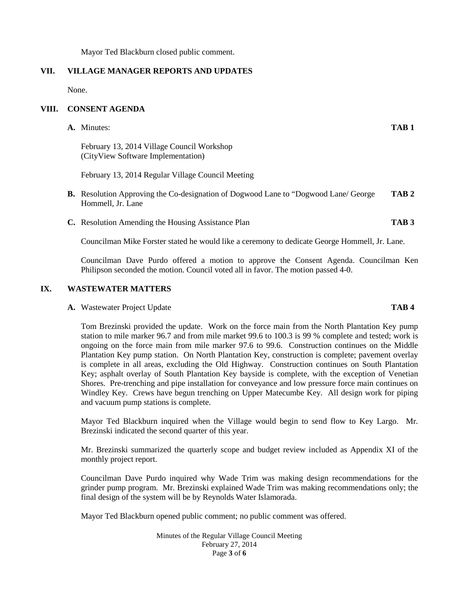Mayor Ted Blackburn closed public comment.

# **VII. VILLAGE MANAGER REPORTS AND UPDATES**

None.

# **VIII. CONSENT AGENDA**

**A.** Minutes: **TAB 1**

February 13, 2014 Village Council Workshop (CityView Software Implementation)

February 13, 2014 Regular Village Council Meeting

- **B.** Resolution Approving the Co-designation of Dogwood Lane to "Dogwood Lane/ George **TAB 2** Hommell, Jr. Lane
- **C.** Resolution Amending the Housing Assistance Plan **TAB 3**

Councilman Mike Forster stated he would like a ceremony to dedicate George Hommell, Jr. Lane.

Councilman Dave Purdo offered a motion to approve the Consent Agenda. Councilman Ken Philipson seconded the motion. Council voted all in favor. The motion passed 4-0.

# **IX. WASTEWATER MATTERS**

### **A.** Wastewater Project Update **TAB 4**

Tom Brezinski provided the update. Work on the force main from the North Plantation Key pump station to mile marker 96.7 and from mile market 99.6 to 100.3 is 99 % complete and tested; work is ongoing on the force main from mile marker 97.6 to 99.6. Construction continues on the Middle Plantation Key pump station. On North Plantation Key, construction is complete; pavement overlay is complete in all areas, excluding the Old Highway. Construction continues on South Plantation Key; asphalt overlay of South Plantation Key bayside is complete, with the exception of Venetian Shores. Pre-trenching and pipe installation for conveyance and low pressure force main continues on Windley Key. Crews have begun trenching on Upper Matecumbe Key. All design work for piping and vacuum pump stations is complete.

Mayor Ted Blackburn inquired when the Village would begin to send flow to Key Largo. Mr. Brezinski indicated the second quarter of this year.

Mr. Brezinski summarized the quarterly scope and budget review included as Appendix XI of the monthly project report.

Councilman Dave Purdo inquired why Wade Trim was making design recommendations for the grinder pump program. Mr. Brezinski explained Wade Trim was making recommendations only; the final design of the system will be by Reynolds Water Islamorada.

Mayor Ted Blackburn opened public comment; no public comment was offered.

Minutes of the Regular Village Council Meeting February 27, 2014 Page **3** of **6**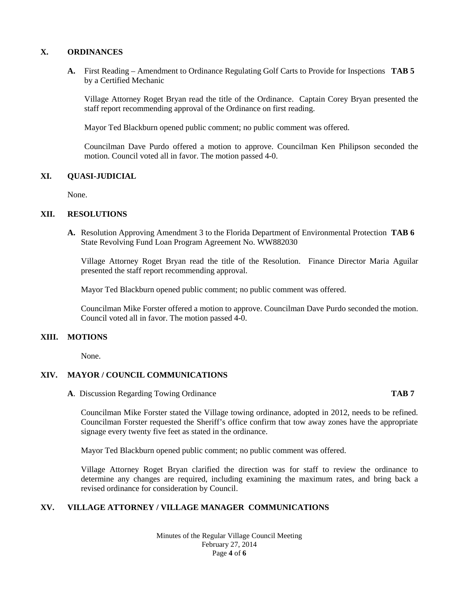# **X. ORDINANCES**

**A.** First Reading – Amendment to Ordinance Regulating Golf Carts to Provide for Inspections **TAB 5** by a Certified Mechanic

Village Attorney Roget Bryan read the title of the Ordinance. Captain Corey Bryan presented the staff report recommending approval of the Ordinance on first reading.

Mayor Ted Blackburn opened public comment; no public comment was offered.

Councilman Dave Purdo offered a motion to approve. Councilman Ken Philipson seconded the motion. Council voted all in favor. The motion passed 4-0.

## **XI. QUASI-JUDICIAL**

None.

# **XII. RESOLUTIONS**

**A.** Resolution Approving Amendment 3 to the Florida Department of Environmental Protection **TAB 6** State Revolving Fund Loan Program Agreement No. WW882030

Village Attorney Roget Bryan read the title of the Resolution. Finance Director Maria Aguilar presented the staff report recommending approval.

Mayor Ted Blackburn opened public comment; no public comment was offered.

Councilman Mike Forster offered a motion to approve. Councilman Dave Purdo seconded the motion. Council voted all in favor. The motion passed 4-0.

### **XIII. MOTIONS**

None.

# **XIV. MAYOR / COUNCIL COMMUNICATIONS**

**A**. Discussion Regarding Towing Ordinance **TAB 7**

Councilman Mike Forster stated the Village towing ordinance, adopted in 2012, needs to be refined. Councilman Forster requested the Sheriff's office confirm that tow away zones have the appropriate signage every twenty five feet as stated in the ordinance.

Mayor Ted Blackburn opened public comment; no public comment was offered.

Village Attorney Roget Bryan clarified the direction was for staff to review the ordinance to determine any changes are required, including examining the maximum rates, and bring back a revised ordinance for consideration by Council.

# **XV. VILLAGE ATTORNEY / VILLAGE MANAGER COMMUNICATIONS**

Minutes of the Regular Village Council Meeting February 27, 2014 Page **4** of **6**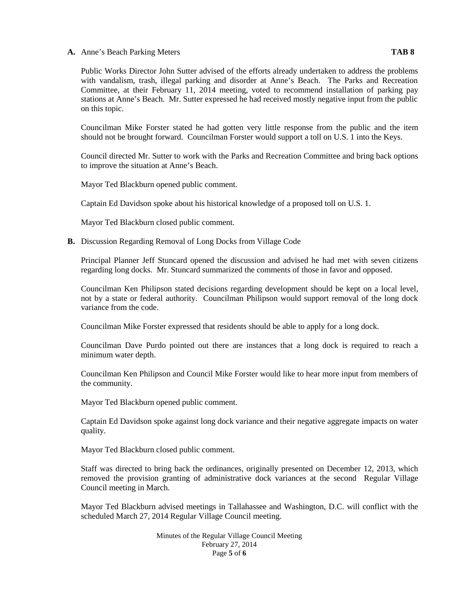**A.** Anne's Beach Parking Meters **TAB 8**

Public Works Director John Sutter advised of the efforts already undertaken to address the problems with vandalism, trash, illegal parking and disorder at Anne's Beach. The Parks and Recreation Committee, at their February 11, 2014 meeting, voted to recommend installation of parking pay stations at Anne's Beach. Mr. Sutter expressed he had received mostly negative input from the public on this topic.

Councilman Mike Forster stated he had gotten very little response from the public and the item should not be brought forward. Councilman Forster would support a toll on U.S. 1 into the Keys.

Council directed Mr. Sutter to work with the Parks and Recreation Committee and bring back options to improve the situation at Anne's Beach.

Mayor Ted Blackburn opened public comment.

Captain Ed Davidson spoke about his historical knowledge of a proposed toll on U.S. 1.

Mayor Ted Blackburn closed public comment.

**B.** Discussion Regarding Removal of Long Docks from Village Code

Principal Planner Jeff Stuncard opened the discussion and advised he had met with seven citizens regarding long docks. Mr. Stuncard summarized the comments of those in favor and opposed.

Councilman Ken Philipson stated decisions regarding development should be kept on a local level, not by a state or federal authority. Councilman Philipson would support removal of the long dock variance from the code.

Councilman Mike Forster expressed that residents should be able to apply for a long dock.

Councilman Dave Purdo pointed out there are instances that a long dock is required to reach a minimum water depth.

Councilman Ken Philipson and Council Mike Forster would like to hear more input from members of the community.

Mayor Ted Blackburn opened public comment.

Captain Ed Davidson spoke against long dock variance and their negative aggregate impacts on water quality.

Mayor Ted Blackburn closed public comment.

Staff was directed to bring back the ordinances, originally presented on December 12, 2013, which removed the provision granting of administrative dock variances at the second Regular Village Council meeting in March.

Mayor Ted Blackburn advised meetings in Tallahassee and Washington, D.C. will conflict with the scheduled March 27, 2014 Regular Village Council meeting.

> Minutes of the Regular Village Council Meeting February 27, 2014 Page **5** of **6**